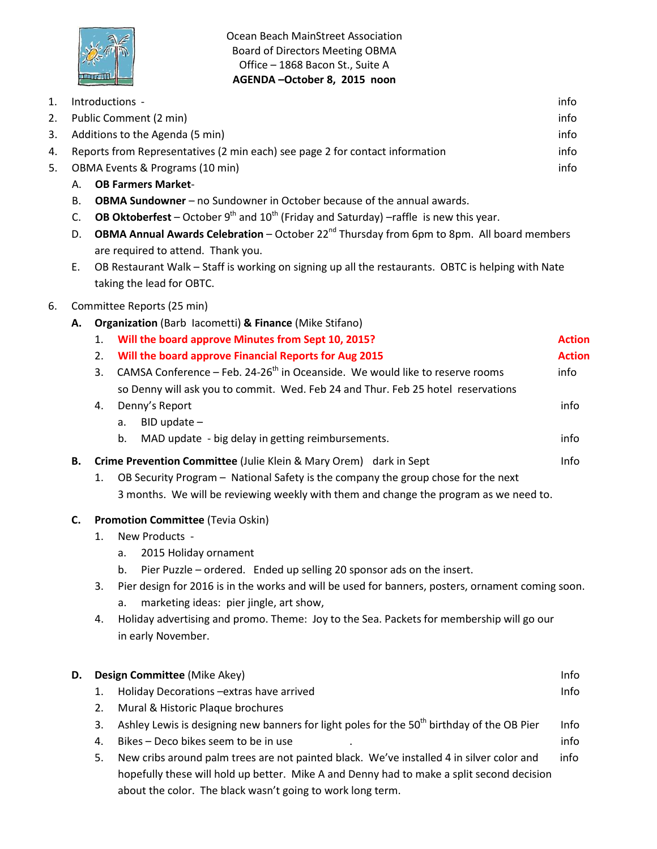

Ocean Beach MainStreet Association Board of Directors Meeting OBMA Office – 1868 Bacon St., Suite A **AGENDA –October 8, 2015 noon**

| 1. |                                 | Introductions -                                                                                                                 | info          |  |
|----|---------------------------------|---------------------------------------------------------------------------------------------------------------------------------|---------------|--|
| 2. |                                 | Public Comment (2 min)                                                                                                          | info          |  |
| 3. |                                 | Additions to the Agenda (5 min)                                                                                                 | info          |  |
| 4. |                                 | Reports from Representatives (2 min each) see page 2 for contact information                                                    | info          |  |
| 5. | OBMA Events & Programs (10 min) |                                                                                                                                 | info          |  |
|    | А.                              | <b>OB Farmers Market-</b>                                                                                                       |               |  |
|    | В.                              | <b>OBMA Sundowner</b> – no Sundowner in October because of the annual awards.                                                   |               |  |
|    | C.                              | <b>OB Oktoberfest</b> – October $9^{th}$ and $10^{th}$ (Friday and Saturday) –raffle is new this year.                          |               |  |
|    | D.                              | OBMA Annual Awards Celebration - October 22 <sup>nd</sup> Thursday from 6pm to 8pm. All board members                           |               |  |
|    |                                 | are required to attend. Thank you.                                                                                              |               |  |
|    | Ε.                              | OB Restaurant Walk - Staff is working on signing up all the restaurants. OBTC is helping with Nate<br>taking the lead for OBTC. |               |  |
| 6. | Committee Reports (25 min)      |                                                                                                                                 |               |  |
|    | А.                              | <b>Organization</b> (Barb lacometti) & Finance (Mike Stifano)                                                                   |               |  |
|    |                                 | Will the board approve Minutes from Sept 10, 2015?<br>1.                                                                        | <b>Action</b> |  |
|    |                                 | Will the board approve Financial Reports for Aug 2015<br>2.                                                                     | <b>Action</b> |  |
|    |                                 | CAMSA Conference - Feb. 24-26 <sup>th</sup> in Oceanside. We would like to reserve rooms<br>3.                                  | info          |  |
|    |                                 | so Denny will ask you to commit. Wed. Feb 24 and Thur. Feb 25 hotel reservations                                                |               |  |
|    |                                 | Denny's Report<br>4.                                                                                                            | info          |  |
|    |                                 | $BID$ update $-$<br>a.                                                                                                          |               |  |
|    |                                 | MAD update - big delay in getting reimbursements.<br>b.                                                                         | info          |  |
|    | В.                              | Crime Prevention Committee (Julie Klein & Mary Orem) dark in Sept                                                               | Info          |  |
|    |                                 | OB Security Program - National Safety is the company the group chose for the next<br>1.                                         |               |  |
|    |                                 | 3 months. We will be reviewing weekly with them and change the program as we need to.                                           |               |  |
|    | C.                              | Promotion Committee (Tevia Oskin)                                                                                               |               |  |
|    |                                 | New Products -<br>1.                                                                                                            |               |  |
|    |                                 | 2015 Holiday ornament<br>a.                                                                                                     |               |  |
|    |                                 | Pier Puzzle – ordered. Ended up selling 20 sponsor ads on the insert.                                                           |               |  |
|    |                                 | Pier design for 2016 is in the works and will be used for banners, posters, ornament coming soon.<br>3.                         |               |  |
|    |                                 | marketing ideas: pier jingle, art show,<br>a.                                                                                   |               |  |
|    |                                 | Holiday advertising and promo. Theme: Joy to the Sea. Packets for membership will go our<br>4.<br>in early November.            |               |  |
|    |                                 |                                                                                                                                 |               |  |
|    | D.                              | Design Committee (Mike Akey)                                                                                                    | Info          |  |
|    |                                 | Holiday Decorations - extras have arrived<br>1.                                                                                 | Info          |  |
|    |                                 | Mural & Historic Plaque brochures<br>2.                                                                                         |               |  |
|    |                                 | Ashley Lewis is designing new banners for light poles for the 50 <sup>th</sup> birthday of the OB Pier<br>3.                    | Info          |  |
|    |                                 | Bikes - Deco bikes seem to be in use<br>4.                                                                                      | info          |  |
|    |                                 | New cribs around palm trees are not painted black. We've installed 4 in silver color and<br>5.                                  | info          |  |
|    |                                 | hopefully these will hold up better. Mike A and Denny had to make a split second decision                                       |               |  |

about the color. The black wasn't going to work long term.